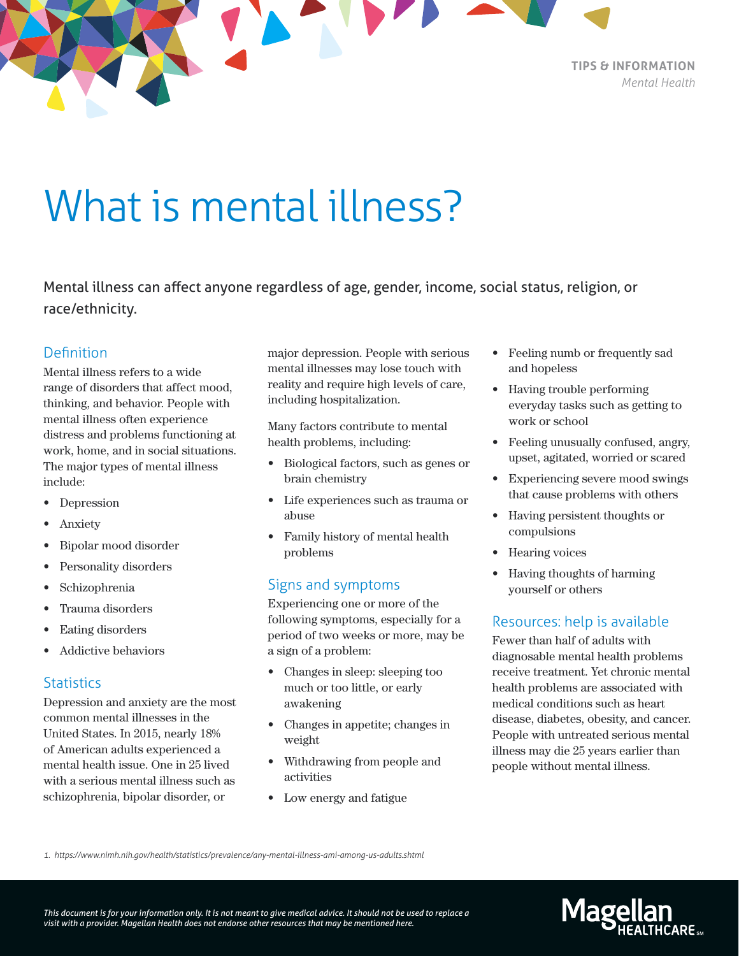

What is mental illness?

Mental illness can affect anyone regardless of age, gender, income, social status, religion, or race/ethnicity.

## **Definition**

Mental illness refers to a wide range of disorders that affect mood, thinking, and behavior. People with mental illness often experience distress and problems functioning at work, home, and in social situations. The major types of mental illness include:

- Depression
- Anxiety
- Bipolar mood disorder
- Personality disorders
- Schizophrenia
- Trauma disorders
- Eating disorders
- Addictive behaviors

#### **Statistics**

Depression and anxiety are the most common mental illnesses in the United States. In 2015, nearly 18% of American adults experienced a mental health issue. One in 25 lived with a serious mental illness such as schizophrenia, bipolar disorder, or

major depression. People with serious mental illnesses may lose touch with reality and require high levels of care, including hospitalization.

Many factors contribute to mental health problems, including:

- Biological factors, such as genes or brain chemistry
- Life experiences such as trauma or abuse
- Family history of mental health problems

### Signs and symptoms

Experiencing one or more of the following symptoms, especially for a period of two weeks or more, may be a sign of a problem:

- Changes in sleep: sleeping too much or too little, or early awakening
- Changes in appetite; changes in weight
- Withdrawing from people and activities
- Low energy and fatigue
- Feeling numb or frequently sad and hopeless
- Having trouble performing everyday tasks such as getting to work or school
- Feeling unusually confused, angry, upset, agitated, worried or scared
- Experiencing severe mood swings that cause problems with others
- Having persistent thoughts or compulsions
- Hearing voices
- Having thoughts of harming yourself or others

### Resources: help is available

Fewer than half of adults with diagnosable mental health problems receive treatment. Yet chronic mental health problems are associated with medical conditions such as heart disease, diabetes, obesity, and cancer. People with untreated serious mental illness may die 25 years earlier than people without mental illness.

*1. https://www.nimh.nih.gov/health/statistics/prevalence/any-mental-illness-ami-among-us-adults.shtml*

*This document is for your information only. It is not meant to give medical advice. It should not be used to replace a visit with a provider. Magellan Health does not endorse other resources that may be mentioned here.*